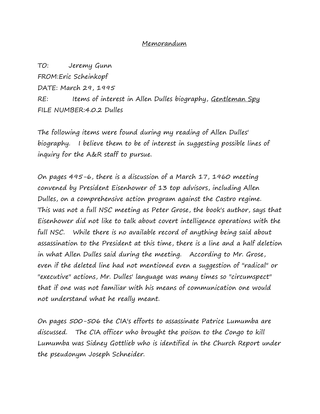## Memorandum

TO: Jeremy Gunn FROM:Eric Scheinkopf DATE: March 29, 1995 RE: Items of interest in Allen Dulles biography, Gentleman Spy FILE NUMBER:4.0.2 Dulles

The following items were found during my reading of Allen Dulles' biography. I believe them to be of interest in suggesting possible lines of inquiry for the A&R staff to pursue.

On pages 495-6, there is a discussion of a March 17, 1960 meeting convened by President Eisenhower of 13 top advisors, including Allen Dulles, on a comprehensive action program against the Castro regime. This was not a full NSC meeting as Peter Grose, the book's author, says that Eisenhower did not like to talk about covert intelligence operations with the full NSC. While there is no available record of anything being said about assassination to the President at this time, there is a line and a half deletion in what Allen Dulles said during the meeting. According to Mr. Grose, even if the deleted line had not mentioned even a suggestion of "radical" or "executive" actions, Mr. Dulles' language was many times so "circumspect" that if one was not familiar with his means of communication one would not understand what he really meant.

On pages 500-506 the CIA's efforts to assassinate Patrice Lumumba are discussed. The CIA officer who brought the poison to the Congo to kill Lumumba was Sidney Gottlieb who is identified in the Church Report under the pseudonym Joseph Schneider.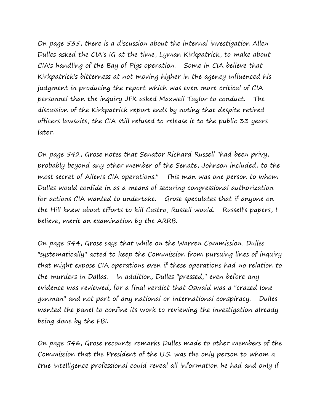On page 535, there is a discussion about the internal investigation Allen Dulles asked the CIA's IG at the time, Lyman Kirkpatrick, to make about CIA's handling of the Bay of Pigs operation. Some in CIA believe that Kirkpatrick's bitterness at not moving higher in the agency influenced his judgment in producing the report which was even more critical of CIA personnel than the inquiry JFK asked Maxwell Taylor to conduct. The discussion of the Kirkpatrick report ends by noting that despite retired officers lawsuits, the CIA still refused to release it to the public 33 years later.

On page 542, Grose notes that Senator Richard Russell "had been privy, probably beyond any other member of the Senate, Johnson included, to the most secret of Allen's CIA operations." This man was one person to whom Dulles would confide in as a means of securing congressional authorization for actions CIA wanted to undertake. Grose speculates that if anyone on the Hill knew about efforts to kill Castro, Russell would. Russell's papers, I believe, merit an examination by the ARRB.

On page 544, Grose says that while on the Warren Commission, Dulles "systematically" acted to keep the Commission from pursuing lines of inquiry that might expose CIA operations even if these operations had no relation to the murders in Dallas. In addition, Dulles "pressed," even before any evidence was reviewed, for a final verdict that Oswald was a "crazed lone gunman" and not part of any national or international conspiracy. Dulles wanted the panel to confine its work to reviewing the investigation already being done by the FBI.

On page 546, Grose recounts remarks Dulles made to other members of the Commission that the President of the U.S. was the only person to whom a true intelligence professional could reveal all information he had and only if